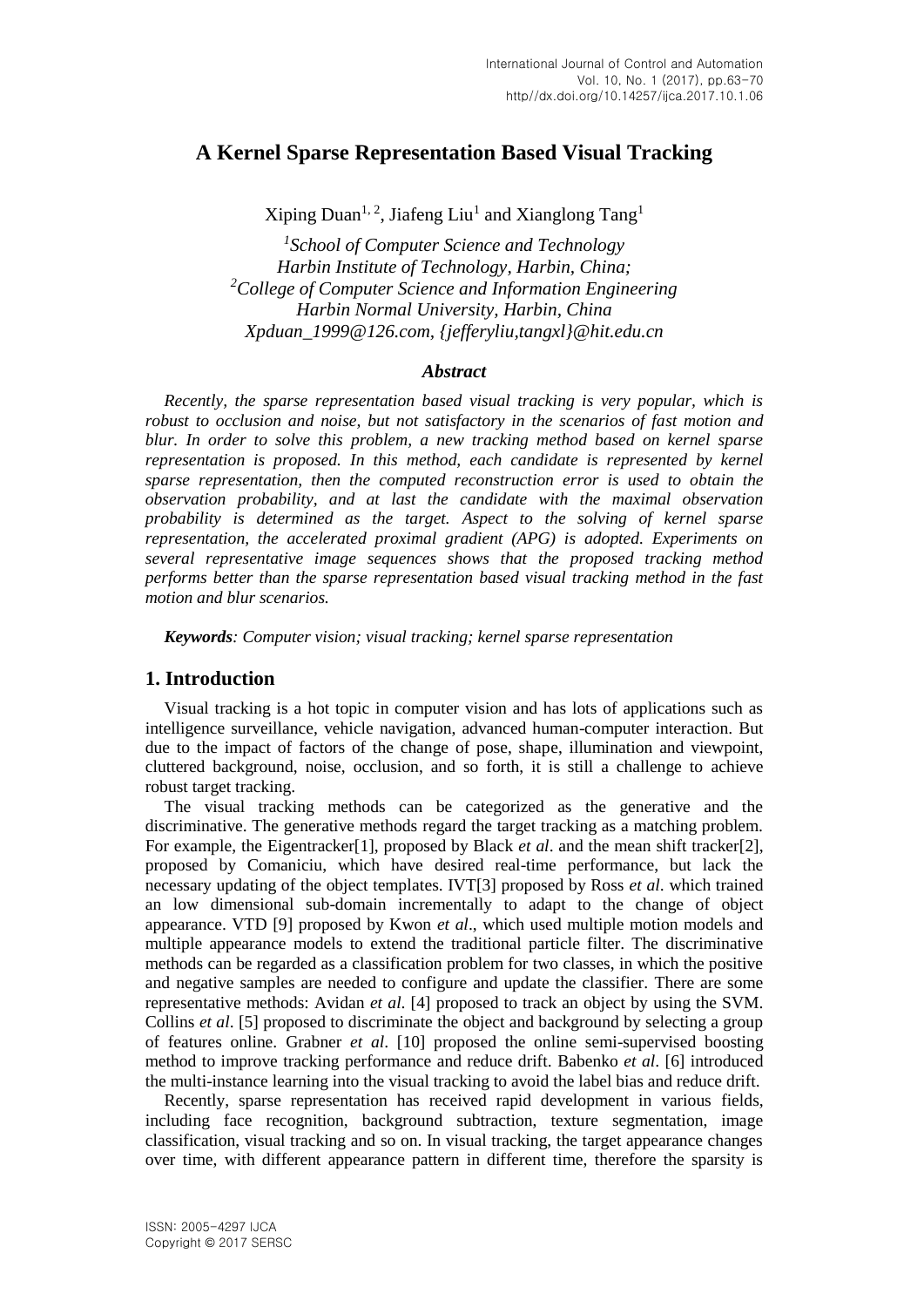# **A Kernel Sparse Representation Based Visual Tracking**

Xiping Duan<sup>1, 2</sup>, Jiafeng Liu<sup>1</sup> and Xianglong Tang<sup>1</sup>

*1 School of Computer Science and Technology Harbin Institute of Technology, Harbin, China; <sup>2</sup>College of Computer Science and Information Engineering Harbin Normal University, Harbin, China Xpduan\_1999@126.com, {jefferyliu,tangxl}@hit.edu.cn*

### *Abstract*

*Recently, the sparse representation based visual tracking is very popular, which is robust to occlusion and noise, but not satisfactory in the scenarios of fast motion and blur. In order to solve this problem, a new tracking method based on kernel sparse representation is proposed. In this method, each candidate is represented by kernel sparse representation, then the computed reconstruction error is used to obtain the observation probability, and at last the candidate with the maximal observation probability is determined as the target. Aspect to the solving of kernel sparse representation, the accelerated proximal gradient (APG) is adopted. Experiments on several representative image sequences shows that the proposed tracking method performs better than the sparse representation based visual tracking method in the fast motion and blur scenarios.*

*Keywords: Computer vision; visual tracking; kernel sparse representation*

### **1. Introduction**

Visual tracking is a hot topic in computer vision and has lots of applications such as intelligence surveillance, vehicle navigation, advanced human-computer interaction. But due to the impact of factors of the change of pose, shape, illumination and viewpoint, cluttered background, noise, occlusion, and so forth, it is still a challenge to achieve robust target tracking.

The visual tracking methods can be categorized as the generative and the discriminative. The generative methods regard the target tracking as a matching problem. For example, the Eigentracker[1], proposed by Black *et al*. and the mean shift tracker[2], proposed by Comaniciu, which have desired real-time performance, but lack the necessary updating of the object templates. IVT[3] proposed by Ross *et al*. which trained an low dimensional sub-domain incrementally to adapt to the change of object appearance. VTD [9] proposed by Kwon *et al*., which used multiple motion models and multiple appearance models to extend the traditional particle filter. The discriminative methods can be regarded as a classification problem for two classes, in which the positive and negative samples are needed to configure and update the classifier. There are some representative methods: Avidan *et al*. [4] proposed to track an object by using the SVM. Collins *et al*. [5] proposed to discriminate the object and background by selecting a group of features online. Grabner *et al*. [10] proposed the online semi-supervised boosting method to improve tracking performance and reduce drift. Babenko *et al*. [6] introduced the multi-instance learning into the visual tracking to avoid the label bias and reduce drift.

Recently, sparse representation has received rapid development in various fields, including face recognition, background subtraction, texture segmentation, image classification, visual tracking and so on. In visual tracking, the target appearance changes over time, with different appearance pattern in different time, therefore the sparsity is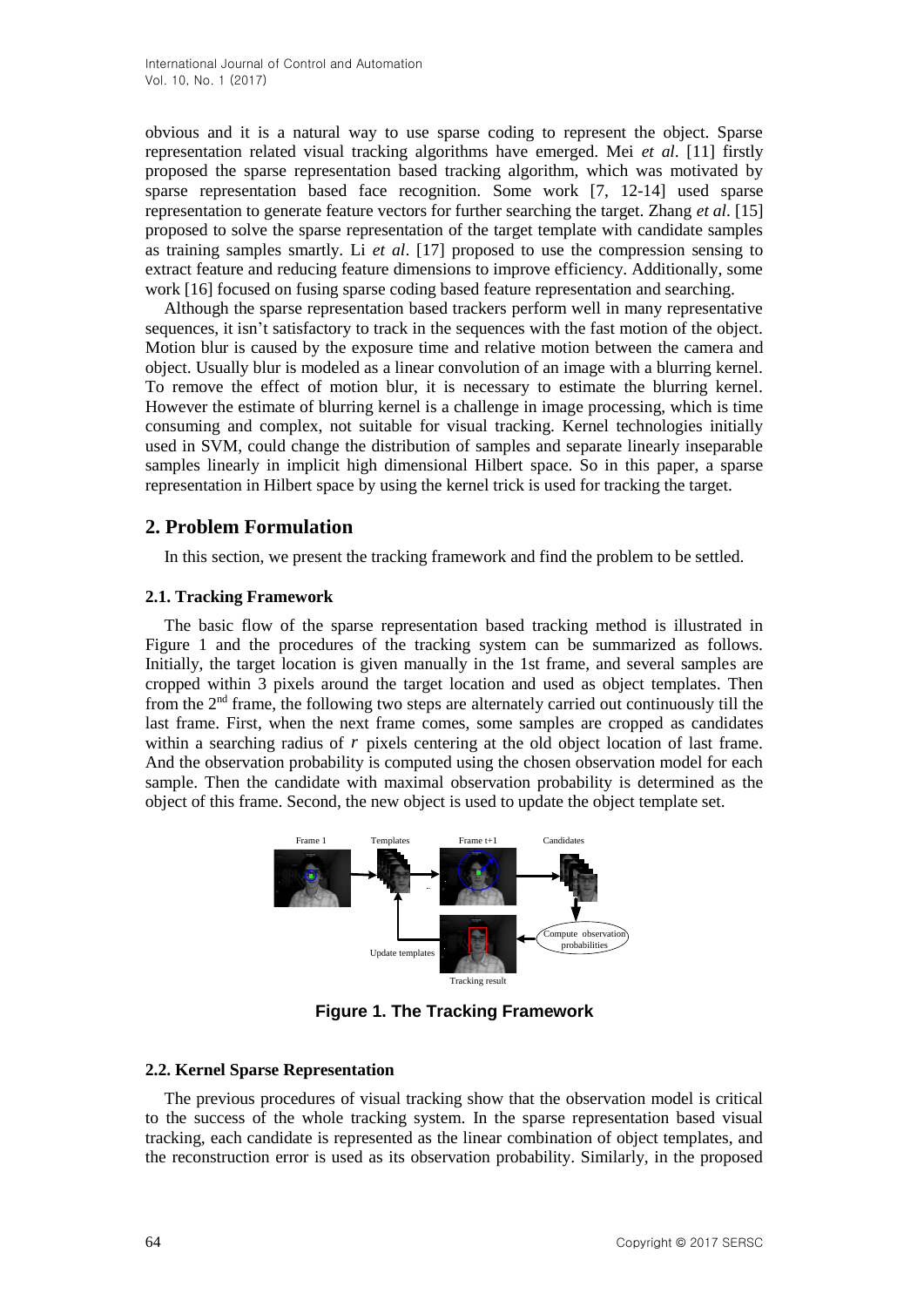obvious and it is a natural way to use sparse coding to represent the object. Sparse representation related visual tracking algorithms have emerged. Mei *et al*. [11] firstly proposed the sparse representation based tracking algorithm, which was motivated by sparse representation based face recognition. Some work [7, 12-14] used sparse representation to generate feature vectors for further searching the target. Zhang *et al*. [15] proposed to solve the sparse representation of the target template with candidate samples as training samples smartly. Li *et al*. [17] proposed to use the compression sensing to extract feature and reducing feature dimensions to improve efficiency. Additionally, some work [16] focused on fusing sparse coding based feature representation and searching.

Although the sparse representation based trackers perform well in many representative sequences, it isn't satisfactory to track in the sequences with the fast motion of the object. Motion blur is caused by the exposure time and relative motion between the camera and object. Usually blur is modeled as a linear convolution of an image with a blurring kernel. To remove the effect of motion blur, it is necessary to estimate the blurring kernel. However the estimate of blurring kernel is a challenge in image processing, which is time consuming and complex, not suitable for visual tracking. Kernel technologies initially used in SVM, could change the distribution of samples and separate linearly inseparable samples linearly in implicit high dimensional Hilbert space. So in this paper, a sparse representation in Hilbert space by using the kernel trick is used for tracking the target.

## **2. Problem Formulation**

In this section, we present the tracking framework and find the problem to be settled.

### **2.1. Tracking Framework**

The basic flow of the sparse representation based tracking method is illustrated in Figure 1 and the procedures of the tracking system can be summarized as follows. Initially, the target location is given manually in the 1st frame, and several samples are cropped within 3 pixels around the target location and used as object templates. Then from the 2nd frame, the following two steps are alternately carried out continuously till the last frame. First, when the next frame comes, some samples are cropped as candidates within a searching radius of r pixels centering at the old object location of last frame. And the observation probability is computed using the chosen observation model for each sample. Then the candidate with maximal observation probability is determined as the object of this frame. Second, the new object is used to update the object template set.



**Figure 1. The Tracking Framework**

### **2.2. Kernel Sparse Representation**

The previous procedures of visual tracking show that the observation model is critical to the success of the whole tracking system. In the sparse representation based visual tracking, each candidate is represented as the linear combination of object templates, and the reconstruction error is used as its observation probability. Similarly, in the proposed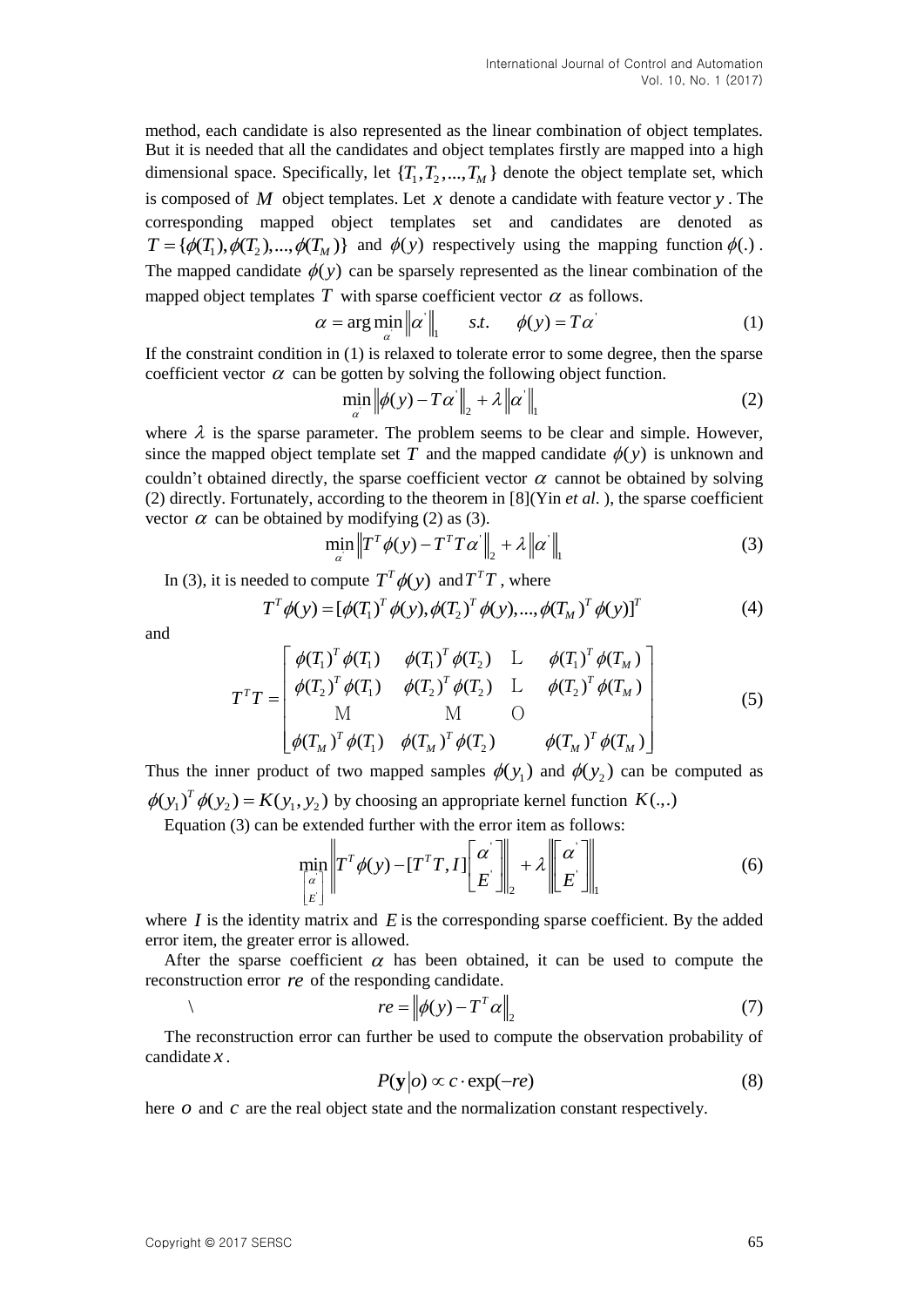method, each candidate is also represented as the linear combination of object templates. But it is needed that all the candidates and object templates firstly are mapped into a high dimensional space. Specifically, let  $\{T_1, T_2, ..., T_M\}$  denote the object template set, which is composed of  $M$  object templates. Let  $x$  denote a candidate with feature vector  $y$ . The corresponding mapped object templates set and candidates are denoted as corresponding mapped object templates set and candidates are denoted as  $T = {\phi(T_1), \phi(T_2), ..., \phi(T_M)}$  and  $\phi(y)$  respectively using the mapping function  $\phi(.)$ . The mapped candidate  $\phi(y)$  can be sparsely represented as the linear combination of the mapped object templates T with sparse coefficient vector  $\alpha$  as follows.

$$
\alpha = \arg\min_{\alpha} \|\alpha\|_{1} \quad s.t. \quad \phi(y) = T\alpha' \tag{1}
$$

If the constraint condition in (1) is relaxed to tolerate error to some degree, then the sparse coefficient vector  $\alpha$  can be gotten by solving the following object function.

$$
\min_{\alpha} \left\| \phi(y) - T\alpha' \right\|_2 + \lambda \left\| \alpha' \right\|_1 \tag{2}
$$

where  $\lambda$  is the sparse parameter. The problem seems to be clear and simple. However, since the mapped object template set T and the mapped candidate  $\phi(y)$  is unknown and couldn't obtained directly, the sparse coefficient vector  $\alpha$  cannot be obtained by solving (2) directly. Fortunately, according to the theorem in [8](Yin *et al*. ), the sparse coefficient vector  $\alpha$  can be obtained by modifying (2) as (3).

$$
\min_{\alpha} \left\| T^T \phi(y) - T^T T \alpha' \right\|_2 + \lambda \left\| \alpha' \right\|_1 \tag{3}
$$

In (3), it is needed to compute  $T^T \phi(y)$  and  $T^T T$ , where

$$
T^T \phi(y) = [\phi(T_1)^T \phi(y), \phi(T_2)^T \phi(y), ..., \phi(T_M)^T \phi(y)]^T
$$
 (4)

and

$$
T^{T}T = \begin{bmatrix} \phi(T_{1})^{T} \phi(T_{1}) & \phi(T_{1})^{T} \phi(T_{2}) & \text{L} & \phi(T_{1})^{T} \phi(T_{M}) \\ \phi(T_{2})^{T} \phi(T_{1}) & \phi(T_{2})^{T} \phi(T_{2}) & \text{L} & \phi(T_{2})^{T} \phi(T_{M}) \\ M & M & O \\ \phi(T_{M})^{T} \phi(T_{1}) & \phi(T_{M})^{T} \phi(T_{2}) & \phi(T_{M})^{T} \phi(T_{M}) \end{bmatrix}
$$
(5)

Thus the inner product of two mapped samples  $\phi(y_1)$  and  $\phi(y_2)$  can be computed as  $\phi(y_1)^T \phi(y_2) = K(y_1, y_2)$  by choosing an appropriate kernel function  $K(.,.)$ 

Equation (3) can be extended further with the error item as follows:

$$
\min_{\begin{bmatrix} \alpha \\ E \end{bmatrix}} \left\| T^T \phi(y) - [T^T T, I] \begin{bmatrix} \alpha \\ E \end{bmatrix} \right\|_2 + \lambda \left\| \begin{bmatrix} \alpha \\ E \end{bmatrix} \right\|_1 \tag{6}
$$

where  $I$  is the identity matrix and  $E$  is the corresponding sparse coefficient. By the added error item, the greater error is allowed.

After the sparse coefficient  $\alpha$  has been obtained, it can be used to compute the reconstruction error *re* of the responding candidate.

$$
re = ||\phi(y) - T^T \alpha||_2
$$
 (7)

The reconstruction error can further be used to compute the observation probability of candidate *x* .

$$
P(\mathbf{y}|o) \propto c \cdot \exp(-re) \tag{8}
$$

here  $o$  and  $c$  are the real object state and the normalization constant respectively.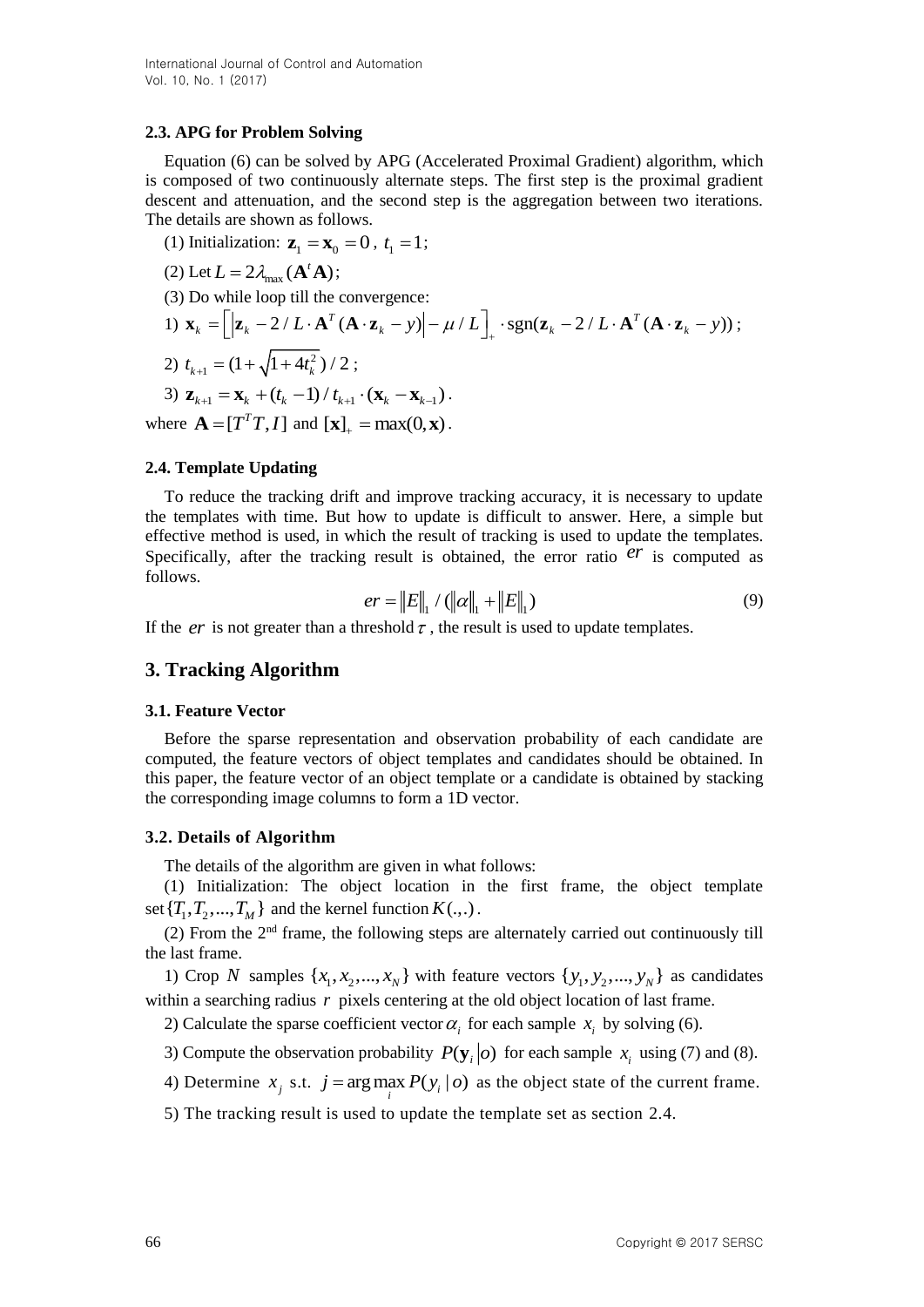### **2.3. APG for Problem Solving**

Equation (6) can be solved by APG (Accelerated Proximal Gradient) algorithm, which is composed of two continuously alternate steps. The first step is the proximal gradient descent and attenuation, and the second step is the aggregation between two iterations. The details are shown as follows.

(1) Initialization:  $z_1 = x_0 = 0$ ,  $t_1 = 1$ ;

(2) Let  $L = 2\lambda_{\text{max}}(\mathbf{A}^t\mathbf{A});$ 

(3) Do while loop till the convergence:

1) 
$$
\mathbf{x}_k = \left[ |\mathbf{z}_k - 2/L \cdot \mathbf{A}^T (\mathbf{A} \cdot \mathbf{z}_k - y)| - \mu/L \right]_+ \cdot \text{sgn}(\mathbf{z}_k - 2/L \cdot \mathbf{A}^T (\mathbf{A} \cdot \mathbf{z}_k - y));
$$
  
\n2)  $t_{k+1} = (1 + \sqrt{1 + 4t_k^2})/2;$ 

3)  $\mathbf{z}_{k+1} = \mathbf{x}_k + (t_k - 1) / t_{k+1} \cdot (\mathbf{x}_k - \mathbf{x}_{k-1}).$ where  $\mathbf{A} = [T^T T, I]$  and  $[\mathbf{x}]_+ = \max(0, \mathbf{x})$ .

### **2.4. Template Updating**

To reduce the tracking drift and improve tracking accuracy, it is necessary to update the templates with time. But how to update is difficult to answer. Here, a simple but effective method is used, in which the result of tracking is used to update the templates. Specifically, after the tracking result is obtained, the error ratio  $er$  is computed as follows.

$$
er = ||E||_1 / (||\alpha||_1 + ||E||_1)
$$
\n(9)

If the  $er$  is not greater than a threshold  $\tau$ , the result is used to update templates.

## **3. Tracking Algorithm**

#### **3.1. Feature Vector**

Before the sparse representation and observation probability of each candidate are computed, the feature vectors of object templates and candidates should be obtained. In this paper, the feature vector of an object template or a candidate is obtained by stacking the corresponding image columns to form a 1D vector.

### **3.2. Details of Algorithm**

The details of the algorithm are given in what follows:

(1) Initialization: The object location in the first frame, the object template set  $\{T_1, T_2, ..., T_M\}$  and the kernel function  $K(.,.)$ .

(2) From the  $2<sup>nd</sup>$  frame, the following steps are alternately carried out continuously till the last frame.

1) Crop N samples  $\{x_1, x_2, ..., x_N\}$  with feature vectors  $\{y_1, y_2, ..., y_N\}$  as candidates within a searching radius r pixels centering at the old object location of last frame.

2) Calculate the sparse coefficient vector  $\alpha_i$  for each sample  $x_i$  by solving (6).

- 3) Compute the observation probability  $P(\mathbf{y}_i|o)$  for each sample  $x_i$  using (7) and (8).
- 4) Determine  $x_j$  s.t.  $j = \arg \max_i P(y_i | o)$  as the object state of the current frame.
- 5) The tracking result is used to update the template set as section 2.4.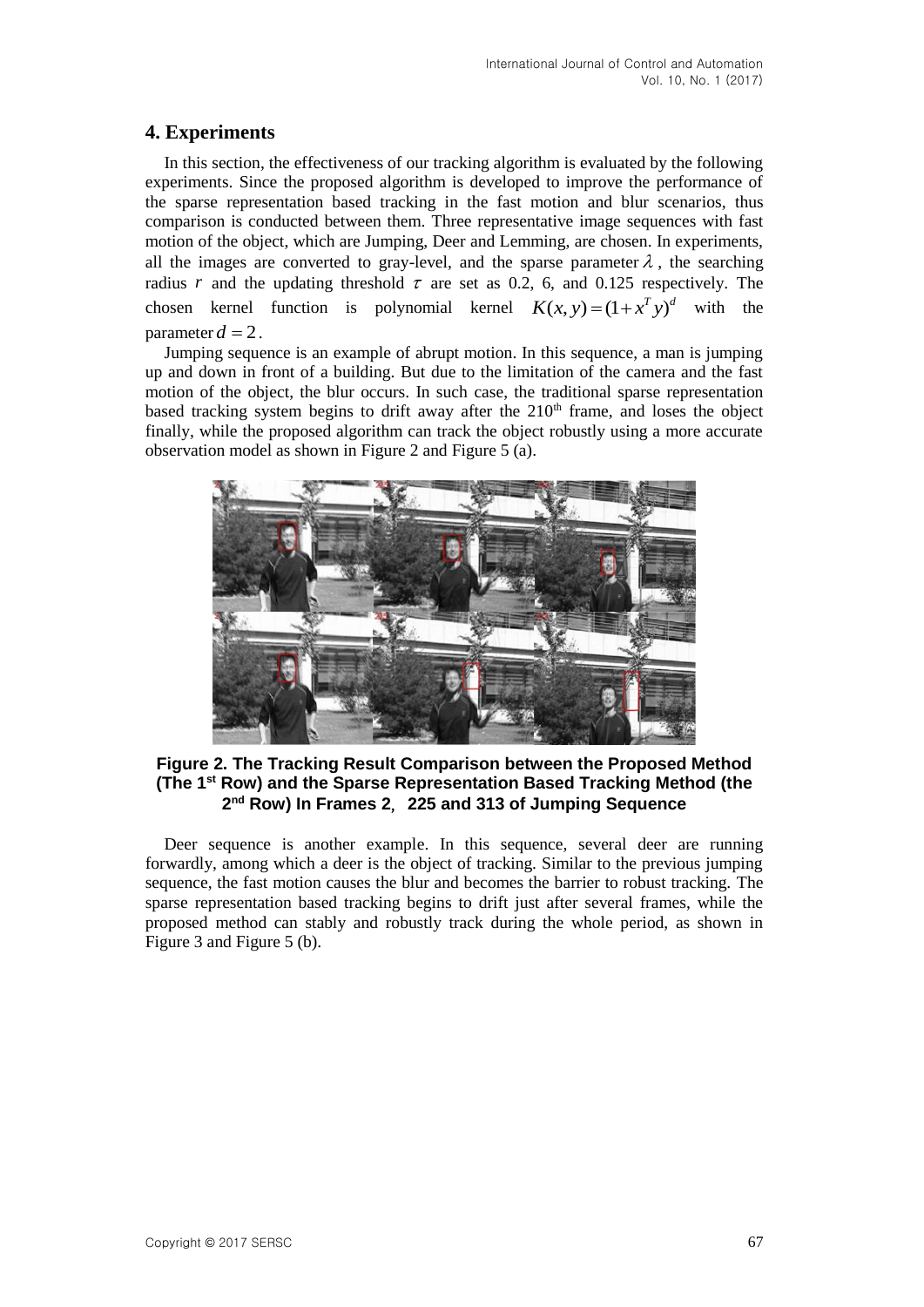# **4. Experiments**

In this section, the effectiveness of our tracking algorithm is evaluated by the following experiments. Since the proposed algorithm is developed to improve the performance of the sparse representation based tracking in the fast motion and blur scenarios, thus comparison is conducted between them. Three representative image sequences with fast motion of the object, which are Jumping, Deer and Lemming, are chosen. In experiments, all the images are converted to gray-level, and the sparse parameter  $\lambda$ , the searching radius r and the updating threshold  $\tau$  are set as 0.2, 6, and 0.125 respectively. The chosen kernel function is polynomial kernel  $K(x, y) = (1 + x^T y)^d$  with the parameter  $d = 2$ .

Jumping sequence is an example of abrupt motion. In this sequence, a man is jumping up and down in front of a building. But due to the limitation of the camera and the fast motion of the object, the blur occurs. In such case, the traditional sparse representation based tracking system begins to drift away after the  $210<sup>th</sup>$  frame, and loses the object finally, while the proposed algorithm can track the object robustly using a more accurate observation model as shown in Figure 2 and Figure 5 (a).



**Figure 2. The Tracking Result Comparison between the Proposed Method (The 1 st Row) and the Sparse Representation Based Tracking Method (the 2 nd Row) In Frames 2**,**225 and 313 of Jumping Sequence**

Deer sequence is another example. In this sequence, several deer are running forwardly, among which a deer is the object of tracking. Similar to the previous jumping sequence, the fast motion causes the blur and becomes the barrier to robust tracking. The sparse representation based tracking begins to drift just after several frames, while the proposed method can stably and robustly track during the whole period, as shown in Figure 3 and Figure 5 (b).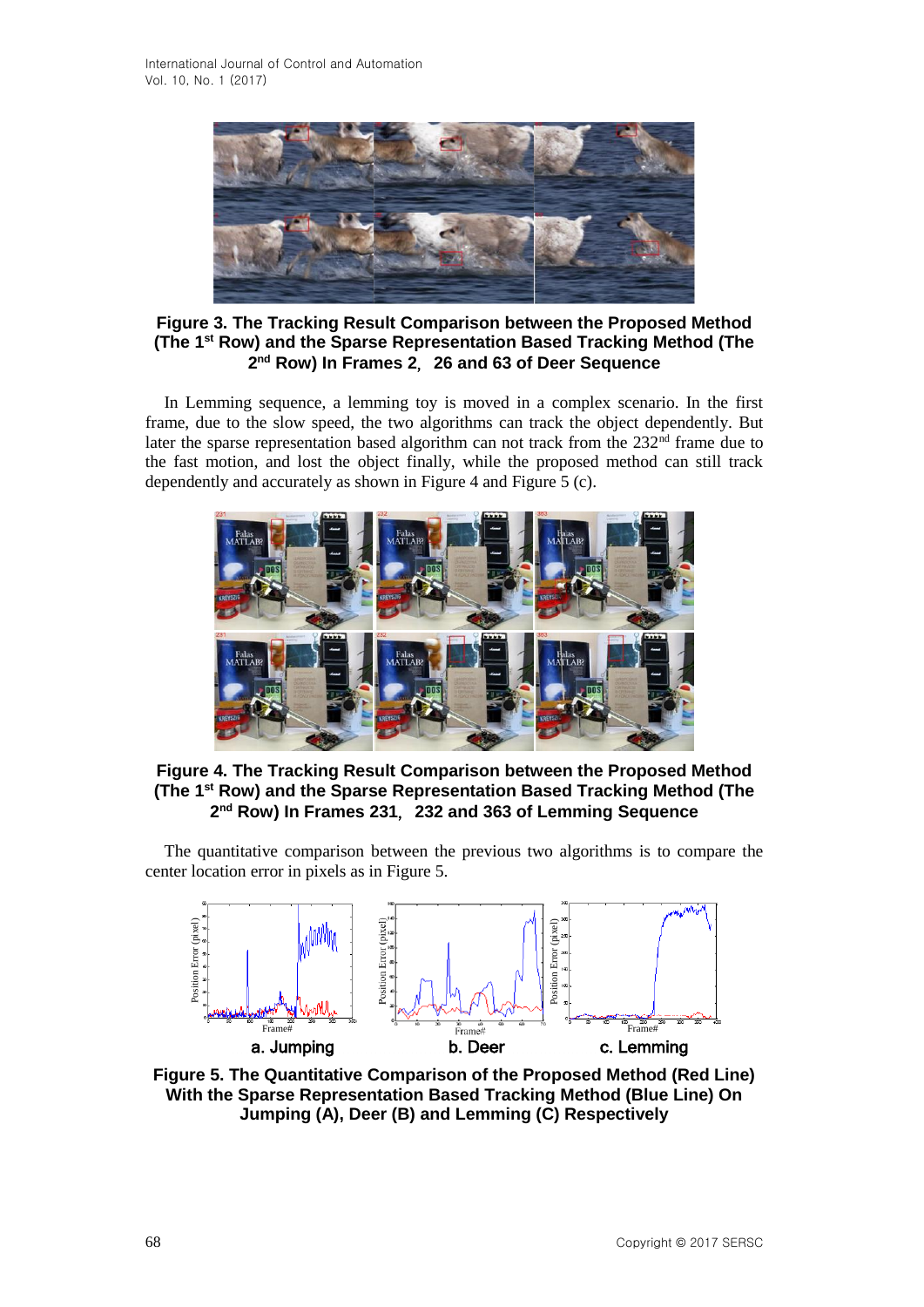

**Figure 3. The Tracking Result Comparison between the Proposed Method (The 1st Row) and the Sparse Representation Based Tracking Method (The 2 nd Row) In Frames 2**,**26 and 63 of Deer Sequence**

In Lemming sequence, a lemming toy is moved in a complex scenario. In the first frame, due to the slow speed, the two algorithms can track the object dependently. But later the sparse representation based algorithm can not track from the 232<sup>nd</sup> frame due to the fast motion, and lost the object finally, while the proposed method can still track dependently and accurately as shown in Figure 4 and Figure 5 (c).



**Figure 4. The Tracking Result Comparison between the Proposed Method (The 1 st Row) and the Sparse Representation Based Tracking Method (The 2 nd Row) In Frames 231**,**232 and 363 of Lemming Sequence**

The quantitative comparison between the previous two algorithms is to compare the center location error in pixels as in Figure 5.



**Figure 5. The Quantitative Comparison of the Proposed Method (Red Line) With the Sparse Representation Based Tracking Method (Blue Line) On Jumping (A), Deer (B) and Lemming (C) Respectively**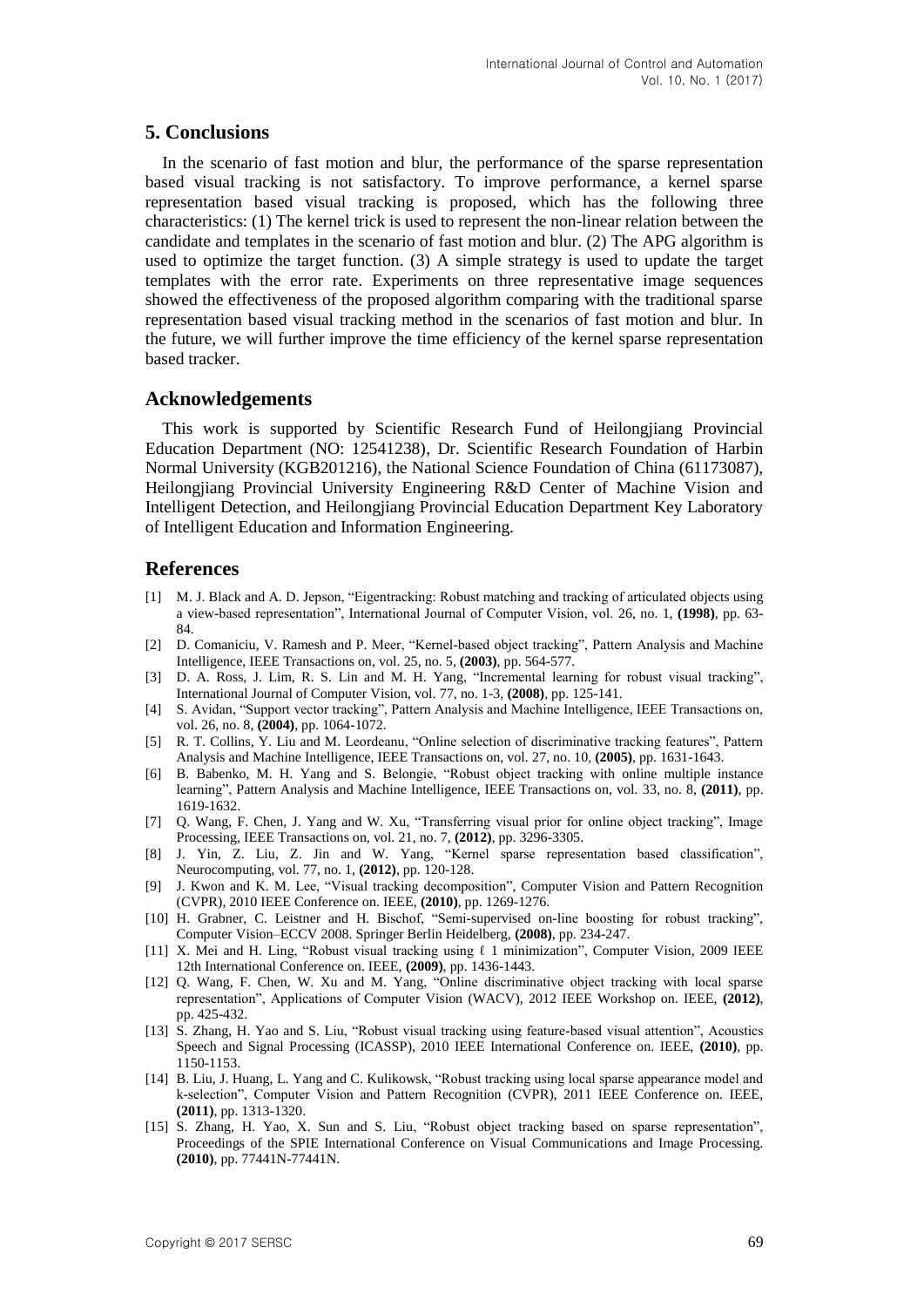## **5. Conclusions**

In the scenario of fast motion and blur, the performance of the sparse representation based visual tracking is not satisfactory. To improve performance, a kernel sparse representation based visual tracking is proposed, which has the following three characteristics: (1) The kernel trick is used to represent the non-linear relation between the candidate and templates in the scenario of fast motion and blur. (2) The APG algorithm is used to optimize the target function. (3) A simple strategy is used to update the target templates with the error rate. Experiments on three representative image sequences showed the effectiveness of the proposed algorithm comparing with the traditional sparse representation based visual tracking method in the scenarios of fast motion and blur. In the future, we will further improve the time efficiency of the kernel sparse representation based tracker.

### **Acknowledgements**

This work is supported by Scientific Research Fund of Heilongjiang Provincial Education Department (NO: 12541238), Dr. Scientific Research Foundation of Harbin Normal University (KGB201216), the National Science Foundation of China (61173087), Heilongjiang Provincial University Engineering R&D Center of Machine Vision and Intelligent Detection, and Heilongjiang Provincial Education Department Key Laboratory of Intelligent Education and Information Engineering.

### **References**

- [1] M. J. Black and A. D. Jepson, "Eigentracking: Robust matching and tracking of articulated objects using a view-based representation", International Journal of Computer Vision, vol. 26, no. 1, **(1998)**, pp. 63- 84.
- [2] D. Comaniciu, V. Ramesh and P. Meer, "Kernel-based object tracking", Pattern Analysis and Machine Intelligence, IEEE Transactions on, vol. 25, no. 5, **(2003)**, pp. 564-577.
- [3] D. A. Ross, J. Lim, R. S. Lin and M. H. Yang, "Incremental learning for robust visual tracking", International Journal of Computer Vision, vol. 77, no. 1-3, **(2008)**, pp. 125-141.
- [4] S. Avidan, "Support vector tracking", Pattern Analysis and Machine Intelligence, IEEE Transactions on, vol. 26, no. 8, **(2004)**, pp. 1064-1072.
- [5] R. T. Collins, Y. Liu and M. Leordeanu, "Online selection of discriminative tracking features", Pattern Analysis and Machine Intelligence, IEEE Transactions on, vol. 27, no. 10, **(2005)**, pp. 1631-1643.
- [6] B. Babenko, M. H. Yang and S. Belongie, "Robust object tracking with online multiple instance learning", Pattern Analysis and Machine Intelligence, IEEE Transactions on, vol. 33, no. 8, **(2011)**, pp. 1619-1632.
- [7] Q. Wang, F. Chen, J. Yang and W. Xu, "Transferring visual prior for online object tracking", Image Processing, IEEE Transactions on, vol. 21, no. 7, **(2012)**, pp. 3296-3305.
- [8] J. Yin, Z. Liu, Z. Jin and W. Yang, "Kernel sparse representation based classification", Neurocomputing, vol. 77, no. 1, **(2012)**, pp. 120-128.
- [9] J. Kwon and K. M. Lee, "Visual tracking decomposition", Computer Vision and Pattern Recognition (CVPR), 2010 IEEE Conference on. IEEE, **(2010)**, pp. 1269-1276.
- [10] H. Grabner, C. Leistner and H. Bischof, "Semi-supervised on-line boosting for robust tracking", Computer Vision–ECCV 2008. Springer Berlin Heidelberg, **(2008)**, pp. 234-247.
- [11] X. Mei and H. Ling, "Robust visual tracking using ℓ 1 minimization", Computer Vision, 2009 IEEE 12th International Conference on. IEEE, **(2009)**, pp. 1436-1443.
- [12] Q. Wang, F. Chen, W. Xu and M. Yang, "Online discriminative object tracking with local sparse representation", Applications of Computer Vision (WACV), 2012 IEEE Workshop on. IEEE, **(2012)**, pp. 425-432.
- [13] S. Zhang, H. Yao and S. Liu, "Robust visual tracking using feature-based visual attention", Acoustics Speech and Signal Processing (ICASSP), 2010 IEEE International Conference on. IEEE, **(2010)**, pp. 1150-1153.
- [14] B. Liu, J. Huang, L. Yang and [C.](http://ieeexplore.ieee.org/search/searchresult.jsp?searchWithin=p_Authors:.QT.Kulikowsk,%20C..QT.&searchWithin=p_Author_Ids:37944927900&newsearch=true) [Kulikowsk,](http://ieeexplore.ieee.org/search/searchresult.jsp?searchWithin=p_Authors:.QT.Kulikowsk,%20C..QT.&searchWithin=p_Author_Ids:37944927900&newsearch=true) "Robust tracking using local sparse appearance model and k-selection", Computer Vision and Pattern Recognition (CVPR), 2011 IEEE Conference on. IEEE, **(2011)**, pp. 1313-1320.
- [15] S. Zhang, H. Yao, X. Sun and S. Liu, "Robust object tracking based on sparse representation", Proceedings of the SPIE International Conference on Visual Communications and Image Processing. **(2010)**, pp. 77441N-77441N.